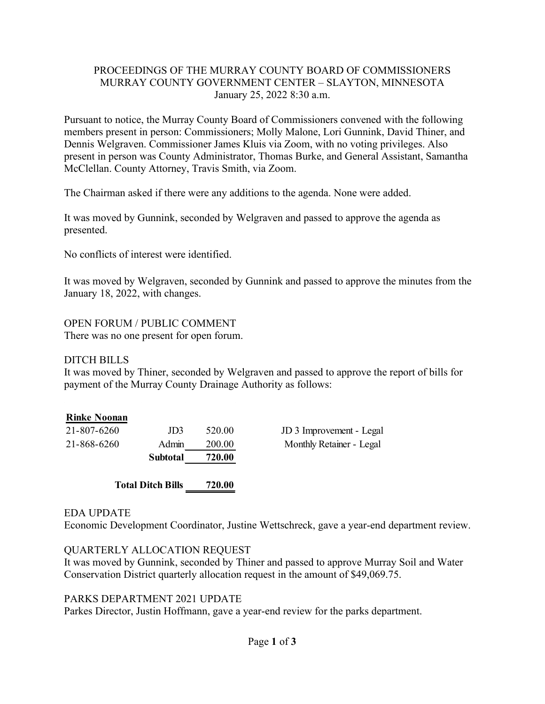### PROCEEDINGS OF THE MURRAY COUNTY BOARD OF COMMISSIONERS MURRAY COUNTY GOVERNMENT CENTER – SLAYTON, MINNESOTA January 25, 2022 8:30 a.m.

Pursuant to notice, the Murray County Board of Commissioners convened with the following members present in person: Commissioners; Molly Malone, Lori Gunnink, David Thiner, and Dennis Welgraven. Commissioner James Kluis via Zoom, with no voting privileges. Also present in person was County Administrator, Thomas Burke, and General Assistant, Samantha McClellan. County Attorney, Travis Smith, via Zoom.

The Chairman asked if there were any additions to the agenda. None were added.

It was moved by Gunnink, seconded by Welgraven and passed to approve the agenda as presented.

No conflicts of interest were identified.

It was moved by Welgraven, seconded by Gunnink and passed to approve the minutes from the January 18, 2022, with changes.

OPEN FORUM / PUBLIC COMMENT There was no one present for open forum.

### DITCH BILLS

It was moved by Thiner, seconded by Welgraven and passed to approve the report of bills for payment of the Murray County Drainage Authority as follows:

### **Rinke Noonan**

| 21-807-6260              | Admin    | 200.00 | JD 3 Improvement - Legal |
|--------------------------|----------|--------|--------------------------|
| 21-868-6260              | Subtotal | 720.00 | Monthly Retainer - Legal |
| <b>Total Ditch Bills</b> |          | 720.00 |                          |

### EDA UPDATE

Economic Development Coordinator, Justine Wettschreck, gave a year-end department review.

### QUARTERLY ALLOCATION REQUEST

It was moved by Gunnink, seconded by Thiner and passed to approve Murray Soil and Water Conservation District quarterly allocation request in the amount of \$49,069.75.

### PARKS DEPARTMENT 2021 UPDATE

Parkes Director, Justin Hoffmann, gave a year-end review for the parks department.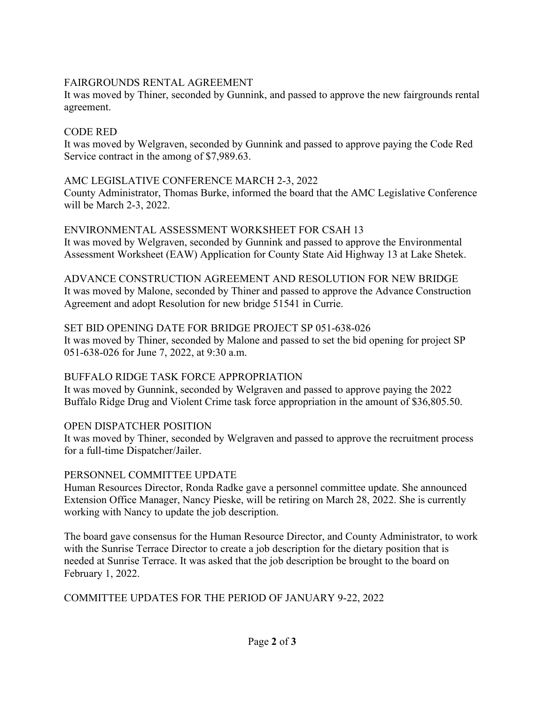### FAIRGROUNDS RENTAL AGREEMENT

It was moved by Thiner, seconded by Gunnink, and passed to approve the new fairgrounds rental agreement.

### CODE RED

It was moved by Welgraven, seconded by Gunnink and passed to approve paying the Code Red Service contract in the among of \$7,989.63.

## AMC LEGISLATIVE CONFERENCE MARCH 2-3, 2022

County Administrator, Thomas Burke, informed the board that the AMC Legislative Conference will be March 2-3, 2022.

## ENVIRONMENTAL ASSESSMENT WORKSHEET FOR CSAH 13

It was moved by Welgraven, seconded by Gunnink and passed to approve the Environmental Assessment Worksheet (EAW) Application for County State Aid Highway 13 at Lake Shetek.

ADVANCE CONSTRUCTION AGREEMENT AND RESOLUTION FOR NEW BRIDGE It was moved by Malone, seconded by Thiner and passed to approve the Advance Construction Agreement and adopt Resolution for new bridge 51541 in Currie.

## SET BID OPENING DATE FOR BRIDGE PROJECT SP 051-638-026

It was moved by Thiner, seconded by Malone and passed to set the bid opening for project SP 051-638-026 for June 7, 2022, at 9:30 a.m.

# BUFFALO RIDGE TASK FORCE APPROPRIATION

It was moved by Gunnink, seconded by Welgraven and passed to approve paying the 2022 Buffalo Ridge Drug and Violent Crime task force appropriation in the amount of \$36,805.50.

# OPEN DISPATCHER POSITION

It was moved by Thiner, seconded by Welgraven and passed to approve the recruitment process for a full-time Dispatcher/Jailer.

### PERSONNEL COMMITTEE UPDATE

Human Resources Director, Ronda Radke gave a personnel committee update. She announced Extension Office Manager, Nancy Pieske, will be retiring on March 28, 2022. She is currently working with Nancy to update the job description.

The board gave consensus for the Human Resource Director, and County Administrator, to work with the Sunrise Terrace Director to create a job description for the dietary position that is needed at Sunrise Terrace. It was asked that the job description be brought to the board on February 1, 2022.

# COMMITTEE UPDATES FOR THE PERIOD OF JANUARY 9-22, 2022